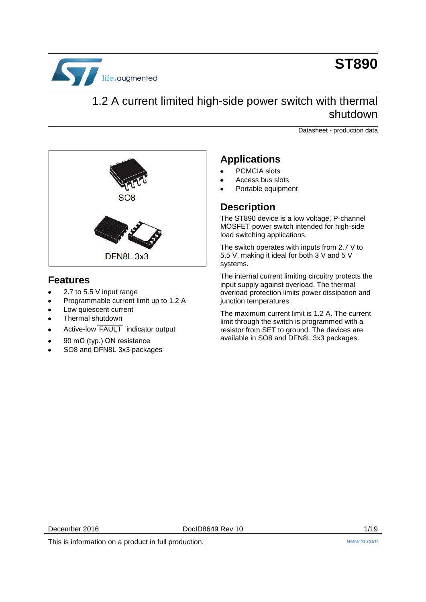

# **ST890**

## 1.2 A current limited high-side power switch with thermal shutdown

Datasheet - production data



### **Features**

- 2.7 to 5.5 V input range
- Programmable current limit up to 1.2 A
- Low quiescent current
- Thermal shutdown
- Active-low FAULT indicator output
- 90 mΩ (typ.) ON resistance
- SO8 and DFN8L 3x3 packages

### **Applications**

- PCMCIA slots
- Access bus slots
- Portable equipment

### **Description**

The ST890 device is a low voltage, P-channel MOSFET power switch intended for high-side load switching applications.

The switch operates with inputs from 2.7 V to 5.5 V, making it ideal for both 3 V and 5 V systems.

The internal current limiting circuitry protects the input supply against overload. The thermal overload protection limits power dissipation and junction temperatures.

The maximum current limit is 1.2 A. The current limit through the switch is programmed with a resistor from SET to ground. The devices are available in SO8 and DFN8L 3x3 packages.

This is information on a product in full production. *www.st.com*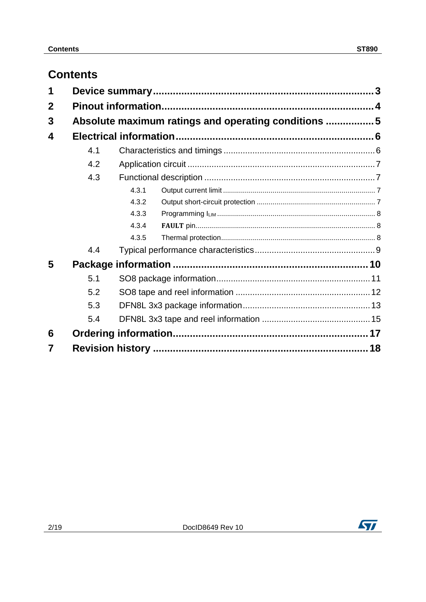## **Contents**

| 4.1 |       |                                                     |
|-----|-------|-----------------------------------------------------|
| 4.2 |       |                                                     |
| 4.3 |       |                                                     |
|     | 4.3.1 |                                                     |
|     | 4.3.2 |                                                     |
|     | 4.3.3 |                                                     |
|     | 4.3.4 |                                                     |
|     | 4.3.5 |                                                     |
| 4.4 |       |                                                     |
|     |       |                                                     |
| 5.1 |       |                                                     |
| 5.2 |       |                                                     |
| 5.3 |       |                                                     |
| 5.4 |       |                                                     |
|     |       |                                                     |
|     |       |                                                     |
|     |       | Absolute maximum ratings and operating conditions 5 |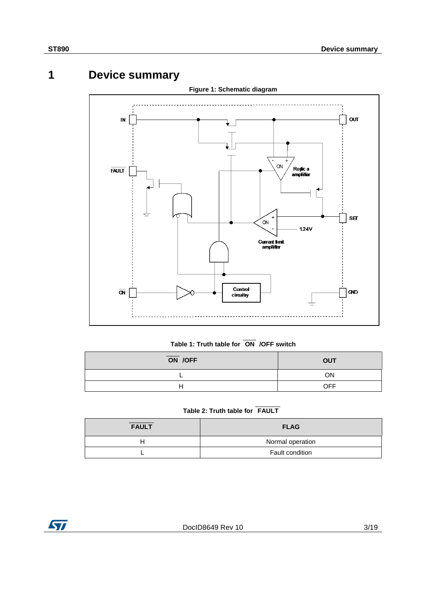## **1 Device summary**

<span id="page-2-0"></span>

#### **Table 1: Truth table for ON /OFF switch**

| ON /OFF | <b>OUT</b> |
|---------|------------|
|         | ΟN         |
|         | OFF        |

### **Table 2: Truth table for FAULT**

| <b>FAULT</b> | <b>FLAG</b>      |
|--------------|------------------|
| н            | Normal operation |
|              | Fault condition  |

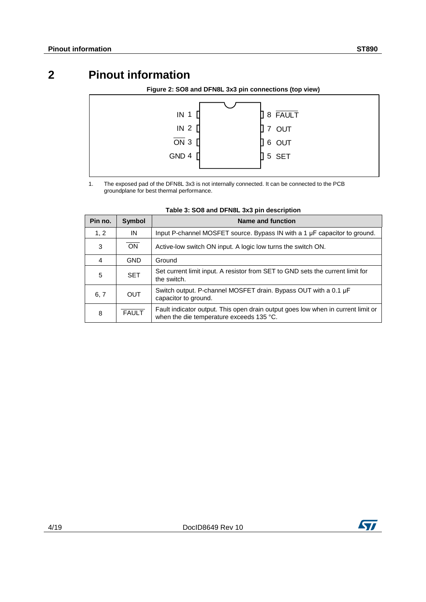## **2 Pinout information**

#### **Figure 2: SO8 and DFN8L 3x3 pin connections (top view)**

<span id="page-3-0"></span>

1. The exposed pad of the DFN8L 3x3 is not internally connected. It can be connected to the PCB groundplane for best thermal performance.

| Pin no. | <b>Symbol</b> | Name and function                                                                                                            |
|---------|---------------|------------------------------------------------------------------------------------------------------------------------------|
| 1, 2    | IN            | Input P-channel MOSFET source. Bypass IN with a 1 µF capacitor to ground.                                                    |
| 3       | <b>ON</b>     | Active-low switch ON input. A logic low turns the switch ON.                                                                 |
| 4       | <b>GND</b>    | Ground                                                                                                                       |
| 5       | <b>SET</b>    | Set current limit input. A resistor from SET to GND sets the current limit for<br>the switch.                                |
| 6, 7    | <b>OUT</b>    | Switch output. P-channel MOSFET drain. Bypass OUT with a 0.1 µF<br>capacitor to ground.                                      |
| 8       | <b>FAULT</b>  | Fault indicator output. This open drain output goes low when in current limit or<br>when the die temperature exceeds 135 °C. |

#### **Table 3: SO8 and DFN8L 3x3 pin description**

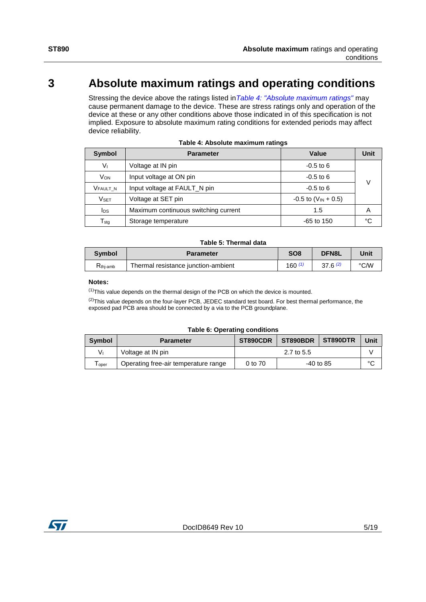## **3 Absolute maximum ratings and operating conditions**

<span id="page-4-0"></span>Stressing the device above the ratings listed in*[Table 4: "Absolute maximum ratings"](#page-4-1)* may cause permanent damage to the device. These are stress ratings only and operation of the device at these or any other conditions above those indicated in of this specification is not implied. Exposure to absolute maximum rating conditions for extended periods may affect device reliability.

<span id="page-4-1"></span>

| Symbol               | <b>Parameter</b>                     | Value                             | Unit |
|----------------------|--------------------------------------|-----------------------------------|------|
| Vı                   | Voltage at IN pin                    | $-0.5$ to 6                       |      |
| <b>VON</b>           | Input voltage at ON pin              | $-0.5$ to 6                       |      |
| V <sub>FAULT_N</sub> | Input voltage at FAULT_N pin         | $-0.5$ to 6                       |      |
| <b>VSET</b>          | Voltage at SET pin                   | $-0.5$ to (V <sub>IN</sub> + 0.5) |      |
| I <sub>DS</sub>      | Maximum continuous switching current | 1.5                               | А    |
| $T_{\text{stg}}$     | Storage temperature                  | $-65$ to 150                      | °C   |

#### **Table 4: Absolute maximum ratings**

#### **Table 5: Thermal data**

| <b>Symbol</b>        | <b>Parameter</b>                    | SO <sub>8</sub> | <b>DFN8L</b> | Unit |
|----------------------|-------------------------------------|-----------------|--------------|------|
| K <sub>thj-amb</sub> | Thermal resistance junction-ambient | 160 $(1)$       | 37.6(2)      | °C∕W |

#### **Notes:**

<span id="page-4-2"></span> $<sup>(1)</sup>$ This value depends on the thermal design of the PCB on which the device is mounted.</sup>

<span id="page-4-3"></span><sup>(2)</sup>This value depends on the four-layer PCB, JEDEC standard test board. For best thermal performance, the exposed pad PCB area should be connected by a via to the PCB groundplane.

#### **Table 6: Operating conditions**

<span id="page-4-4"></span>

| Symbol                       | <b>Parameter</b>                     | ST890DTR<br>ST890CDR<br>ST890BDR |             |  | Unit |
|------------------------------|--------------------------------------|----------------------------------|-------------|--|------|
| V۱                           | Voltage at IN pin                    | 2.7 to 5.5                       |             |  |      |
| $\mathsf{T}_{\mathsf{oper}}$ | Operating free-air temperature range | 0 to 70                          | $-40$ to 85 |  |      |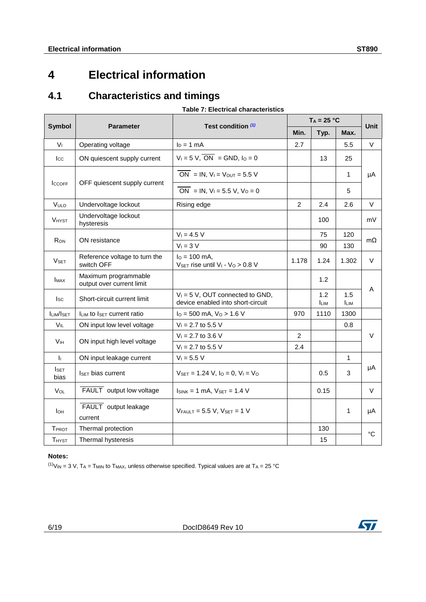### <span id="page-5-1"></span><span id="page-5-0"></span>**4.1 Characteristics and timings**

### **Table 7: Electrical characteristics**

|                         |                                                   |                                                                          |                | $T_A = 25 °C$      |                    |        |
|-------------------------|---------------------------------------------------|--------------------------------------------------------------------------|----------------|--------------------|--------------------|--------|
| <b>Symbol</b>           | <b>Parameter</b>                                  | Test condition (1)                                                       | Min.           | Typ.               | Max.               | Unit   |
| V <sub>1</sub>          | Operating voltage                                 | $I_D = 1$ mA                                                             | 2.7            |                    | 5.5                | $\vee$ |
| $_{\rm lcc}$            | ON quiescent supply current                       | $V_1 = 5 V$ , $\overline{ON} = GND$ , $I_0 = 0$                          |                | 13                 | 25                 |        |
| <b>ICCOFF</b>           | OFF quiescent supply current                      | $\overline{ON}$ = IN, $V_1$ = $V_{OUT}$ = 5.5 V                          |                |                    | 1                  | μA     |
|                         |                                                   | ON = IN, $V_1 = 5.5$ V, $V_0 = 0$                                        |                |                    | 5                  |        |
| VULO                    | Undervoltage lockout                              | Rising edge                                                              | $\overline{2}$ | 2.4                | 2.6                | V      |
| <b>VHYST</b>            | Undervoltage lockout<br>hysteresis                |                                                                          |                | 100                |                    | mV     |
|                         | ON resistance                                     | $V_1 = 4.5 V$                                                            |                | 75                 | 120                |        |
| <b>RON</b>              |                                                   | $V_1 = 3 V$                                                              |                | 90                 | 130                | mΩ     |
| <b>V</b> set            | Reference voltage to turn the<br>switch OFF       | $I_0 = 100$ mA,<br>$V_{\text{SET}}$ rise until $V_1$ - $V_0$ > 0.8 V     | 1.178          | 1.24               | 1.302              | $\vee$ |
| <b>I</b> MAX            | Maximum programmable<br>output over current limit |                                                                          |                | 1.2                |                    |        |
| <b>I</b> sc             | Short-circuit current limit                       | $V_1 = 5 V$ , OUT connected to GND,<br>device enabled into short-circuit |                | 1.2<br><b>ILIM</b> | 1.5<br><b>ILIM</b> | A      |
| ILIM/ISET               | $I_{LIM}$ to $I_{SET}$ current ratio              | $I_0 = 500$ mA, $V_0 > 1.6$ V                                            | 970            | 1110               | 1300               |        |
| $V_{IL}$                | ON input low level voltage                        | $V_1 = 2.7$ to 5.5 V                                                     |                |                    | 0.8                |        |
| Vн                      | ON input high level voltage                       | $V_1 = 2.7$ to 3.6 V                                                     | $\overline{2}$ |                    |                    | V      |
|                         |                                                   | $V_1 = 2.7$ to 5.5 V                                                     | 2.4            |                    |                    |        |
| $\mathbf{I}_{\text{I}}$ | ON input leakage current                          | $V_1 = 5.5 V$                                                            |                |                    | $\mathbf{1}$       |        |
| <b>I</b> set<br>bias    | <b>ISFT bias current</b>                          | $V_{\text{SET}} = 1.24 \text{ V}, I_0 = 0, V_1 = V_0$                    |                | 0.5                | 3                  | μA     |
| $V_{OL}$                | FAULT output low voltage                          | $I_{SINK}$ = 1 mA, $V_{SET}$ = 1.4 V                                     |                | 0.15               |                    | V      |
| Iон                     | FAULT output leakage<br>current                   | $V_{FAULT} = 5.5 V$ , $V_{SET} = 1 V$                                    |                |                    | 1                  | μA     |
| <b>TPROT</b>            | Thermal protection                                |                                                                          |                | 130                |                    |        |
| <b>THYST</b>            | Thermal hysteresis                                |                                                                          |                | 15                 |                    | °C     |

#### **Notes:**

<span id="page-5-2"></span> $^{(1)}V_{IN}$  = 3 V, T<sub>A</sub> = T<sub>MIN</sub> to T<sub>MAX</sub>, unless otherwise specified. Typical values are at T<sub>A</sub> = 25 °C

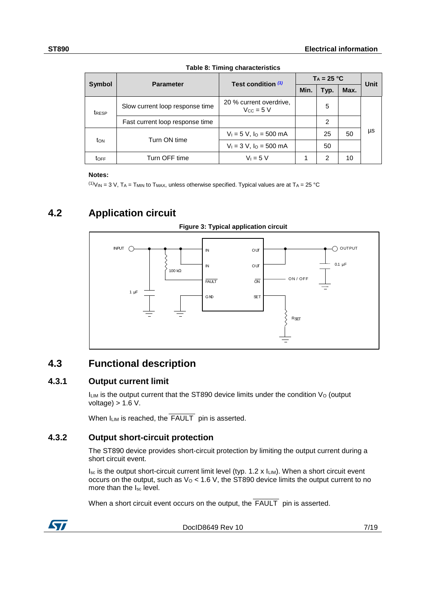| <b>Symbol</b>     | <b>Parameter</b>                | Test condition (1)                        | $Ta = 25 °C$ | <b>Unit</b> |      |    |
|-------------------|---------------------------------|-------------------------------------------|--------------|-------------|------|----|
|                   |                                 |                                           | Min.         | Typ.        | Max. |    |
| t <sub>RESP</sub> | Slow current loop response time | 20 % current overdrive,<br>$V_{CC} = 5 V$ |              | 5           |      |    |
|                   | Fast current loop response time |                                           |              | 2           |      |    |
| ton               | Turn ON time                    | $V_1 = 5 V$ , $I_0 = 500$ mA              |              | 25          | 50   | μs |
|                   |                                 | $V_1 = 3 V$ , $I_0 = 500$ mA              |              | 50          |      |    |
| <b>t</b> OFF      | Turn OFF time                   | $V_1 = 5 V$                               |              | 2           | 10   |    |

**Table 8: Timing characteristics**

#### **Notes:**

<span id="page-6-4"></span><span id="page-6-0"></span> $^{(1)}$ V<sub>IN</sub> = 3 V, T<sub>A</sub> = T<sub>MIN</sub> to T<sub>MAX</sub>, unless otherwise specified. Typical values are at T<sub>A</sub> = 25 °C

### **4.2 Application circuit**





### **4.3 Functional description**

### **4.3.1 Output current limit**

<span id="page-6-2"></span><span id="page-6-1"></span> $I_{LIM}$  is the output current that the ST890 device limits under the condition  $V_O$  (output voltage)  $> 1.6$  V.

<span id="page-6-3"></span>When  $I_{LIM}$  is reached, the  $\overline{FAULT}$  pin is asserted.

### **4.3.2 Output short-circuit protection**

The ST890 device provides short-circuit protection by limiting the output current during a short circuit event.

 $I_{\text{sc}}$  is the output short-circuit current limit level (typ. 1.2 x  $I_{\text{LIM}}$ ). When a short circuit event occurs on the output, such as  $V_0$  < 1.6 V, the ST890 device limits the output current to no more than the Isc level.

When a short circuit event occurs on the output, the FAULT pin is asserted.

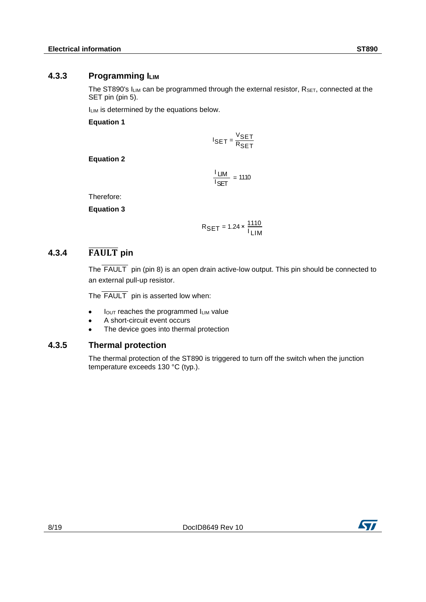### **4.3.3 Programming ILIM**

<span id="page-7-0"></span>The ST890's ILIM can be programmed through the external resistor, RsET, connected at the SET pin (pin 5).

ILIM is determined by the equations below.

**Equation 1**

 $I_{\text{SET}} = \frac{V_{\text{SET}}}{R_{\text{SET}}}$  $=$  $\frac{3EI}{RSET}$ 

**Equation 2**

$$
\frac{I_{\text{LIM}}}{I_{\text{SET}}} = 1110
$$

Therefore:

**Equation 3**

$$
R_{\text{SET}} = 1.24 \times \frac{1110}{I_{\text{LIM}}}
$$

### **4.3.4 FAULT** pin

<span id="page-7-1"></span>The FAULT pin (pin 8) is an open drain active-low output. This pin should be connected to an external pull-up resistor.

The FAULT pin is asserted low when:

- Iout reaches the programmed ILIM value
- A short-circuit event occurs
- <span id="page-7-2"></span>The device goes into thermal protection

### **4.3.5 Thermal protection**

The thermal protection of the ST890 is triggered to turn off the switch when the junction temperature exceeds 130 °C (typ.).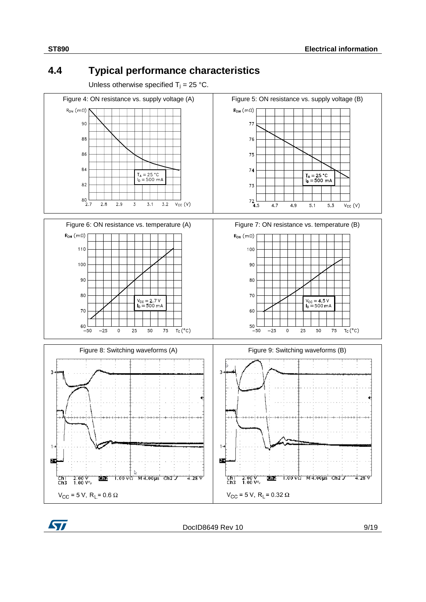## **4.4 Typical performance characteristics**

<span id="page-8-0"></span>Unless otherwise specified  $T_i = 25$  °C.



DocID8649 Rev 10 9/19

ST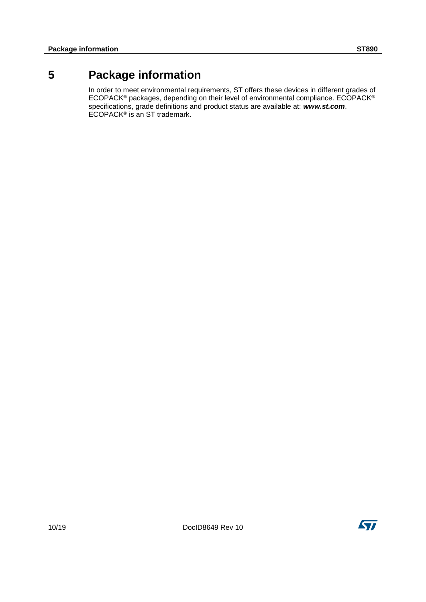## **5 Package information**

<span id="page-9-0"></span>In order to meet environmental requirements, ST offers these devices in different grades of ECOPACK® packages, depending on their level of environmental compliance. ECOPACK® specifications, grade definitions and product status are available at: *www.st.com*. ECOPACK<sup>®</sup> is an ST trademark.

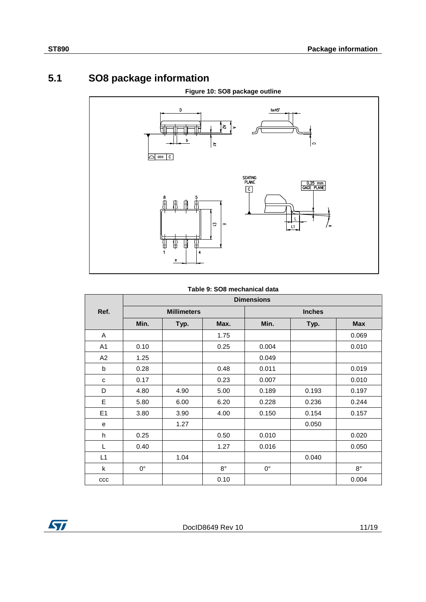## **5.1 SO8 package information**



<span id="page-10-0"></span>

#### **Table 9: SO8 mechanical data**

|                | <b>Dimensions</b> |                    |             |             |               |             |  |
|----------------|-------------------|--------------------|-------------|-------------|---------------|-------------|--|
| Ref.           |                   | <b>Millimeters</b> |             |             | <b>Inches</b> |             |  |
|                | Min.              | Typ.               | Max.        | Min.        | Typ.          | <b>Max</b>  |  |
| A              |                   |                    | 1.75        |             |               | 0.069       |  |
| A <sub>1</sub> | 0.10              |                    | 0.25        | 0.004       |               | 0.010       |  |
| A2             | 1.25              |                    |             | 0.049       |               |             |  |
| b              | 0.28              |                    | 0.48        | 0.011       |               | 0.019       |  |
| C              | 0.17              |                    | 0.23        | 0.007       |               | 0.010       |  |
| D              | 4.80              | 4.90               | 5.00        | 0.189       | 0.193         | 0.197       |  |
| E              | 5.80              | 6.00               | 6.20        | 0.228       | 0.236         | 0.244       |  |
| E <sub>1</sub> | 3.80              | 3.90               | 4.00        | 0.150       | 0.154         | 0.157       |  |
| e              |                   | 1.27               |             |             | 0.050         |             |  |
| h              | 0.25              |                    | 0.50        | 0.010       |               | 0.020       |  |
| L              | 0.40              |                    | 1.27        | 0.016       |               | 0.050       |  |
| L1             |                   | 1.04               |             |             | 0.040         |             |  |
| k              | $0^{\circ}$       |                    | $8^{\circ}$ | $0^{\circ}$ |               | $8^{\circ}$ |  |
| ccc            |                   |                    | 0.10        |             |               | 0.004       |  |

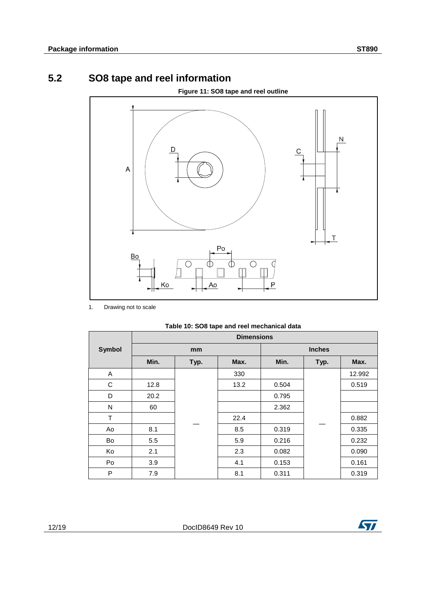## **5.2 SO8 tape and reel information**

<span id="page-11-0"></span>

1. Drawing not to scale

| Table 10: SO8 tape and reel mechanical data |  |
|---------------------------------------------|--|
|---------------------------------------------|--|

|               | <b>Dimensions</b> |      |      |               |      |        |  |
|---------------|-------------------|------|------|---------------|------|--------|--|
| <b>Symbol</b> | mm                |      |      | <b>Inches</b> |      |        |  |
|               | Min.              | Typ. | Max. | Min.          | Typ. | Max.   |  |
| A             |                   |      | 330  |               |      | 12.992 |  |
| С             | 12.8              |      | 13.2 | 0.504         |      | 0.519  |  |
| D             | 20.2              |      |      | 0.795         |      |        |  |
| N             | 60                |      |      | 2.362         |      |        |  |
| T             |                   |      | 22.4 |               |      | 0.882  |  |
| Ao            | 8.1               |      | 8.5  | 0.319         |      | 0.335  |  |
| Bo            | 5.5               |      | 5.9  | 0.216         |      | 0.232  |  |
| Ko            | 2.1               |      | 2.3  | 0.082         |      | 0.090  |  |
| Po            | 3.9               |      | 4.1  | 0.153         |      | 0.161  |  |
| P             | 7.9               |      | 8.1  | 0.311         |      | 0.319  |  |

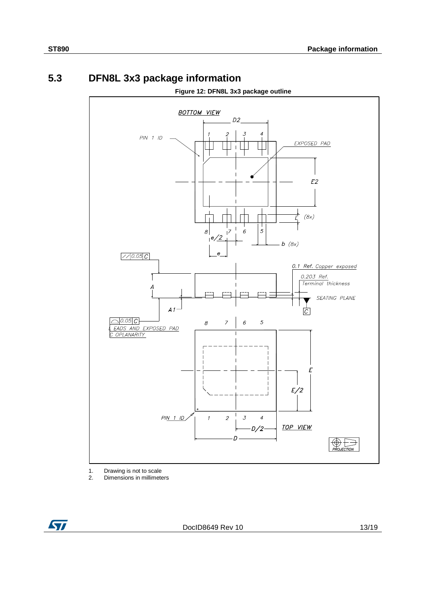### **5.3 DFN8L 3x3 package information**

<span id="page-12-0"></span>

**Figure 12: DFN8L 3x3 package outline**

<span id="page-12-1"></span>1. Drawing is not to scale<br>2. Dimensions in millimete Dimensions in millimeters

ST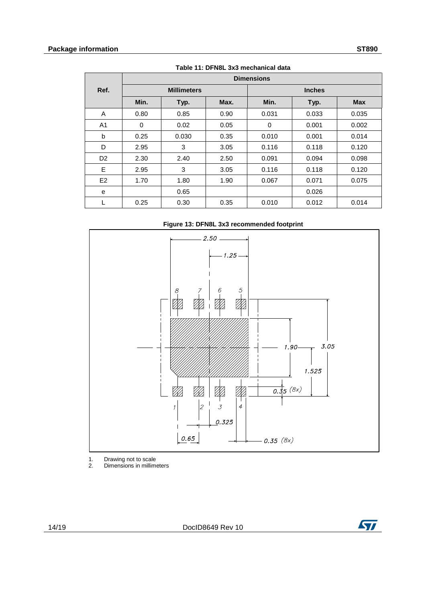|                | <b>Dimensions</b>  |       |      |               |       |            |
|----------------|--------------------|-------|------|---------------|-------|------------|
| Ref.           | <b>Millimeters</b> |       |      | <b>Inches</b> |       |            |
|                | Min.               | Typ.  | Max. | Min.          | Typ.  | <b>Max</b> |
| A              | 0.80               | 0.85  | 0.90 | 0.031         | 0.033 | 0.035      |
| A <sub>1</sub> | 0                  | 0.02  | 0.05 | 0             | 0.001 | 0.002      |
| b              | 0.25               | 0.030 | 0.35 | 0.010         | 0.001 | 0.014      |
| D              | 2.95               | 3     | 3.05 | 0.116         | 0.118 | 0.120      |
| D <sub>2</sub> | 2.30               | 2.40  | 2.50 | 0.091         | 0.094 | 0.098      |
| E              | 2.95               | 3     | 3.05 | 0.116         | 0.118 | 0.120      |
| E <sub>2</sub> | 1.70               | 1.80  | 1.90 | 0.067         | 0.071 | 0.075      |
| e              |                    | 0.65  |      |               | 0.026 |            |
| L              | 0.25               | 0.30  | 0.35 | 0.010         | 0.012 | 0.014      |

**Table 11: DFN8L 3x3 mechanical data**





1. Drawing not to scale

2. Dimensions in millimeters

14/19 DocID8649 Rev 10

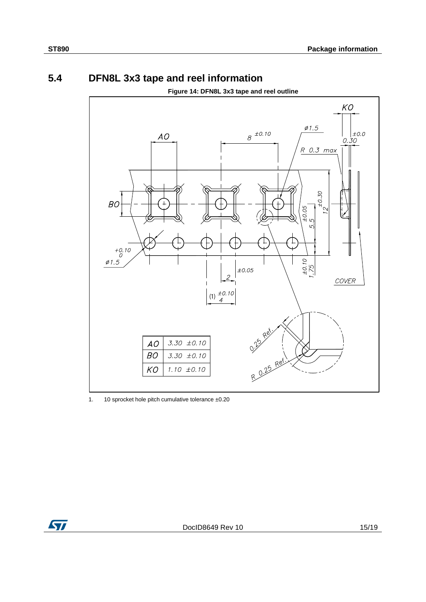### **5.4 DFN8L 3x3 tape and reel information**

<span id="page-14-0"></span>

**Figure 14: DFN8L 3x3 tape and reel outline**

1. 10 sprocket hole pitch cumulative tolerance ±0.20

ST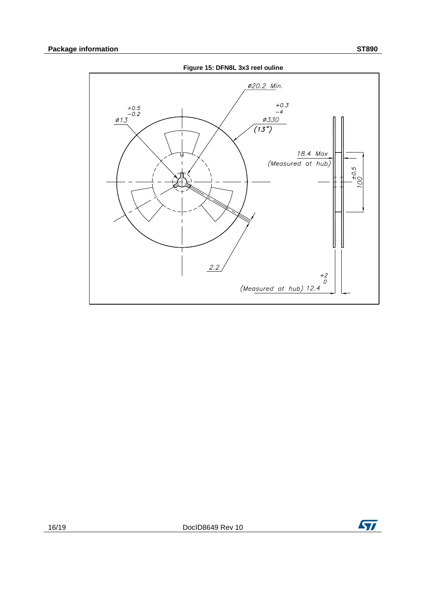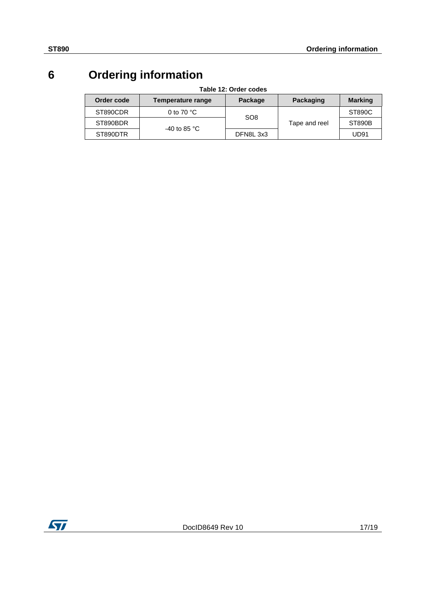## **6 Ordering information**

<span id="page-16-1"></span><span id="page-16-0"></span>

| Table 12: Order codes |                        |                 |               |                |  |
|-----------------------|------------------------|-----------------|---------------|----------------|--|
| Order code            | Temperature range      | Package         | Packaging     | <b>Marking</b> |  |
| ST890CDR              | 0 to 70 $\degree$ C    |                 | Tape and reel | ST890C         |  |
| ST890BDR              | -40 to 85 $^{\circ}$ C | SO <sub>8</sub> |               | ST890B         |  |
| ST890DTR              |                        | DFN8L 3x3       |               | UD91           |  |

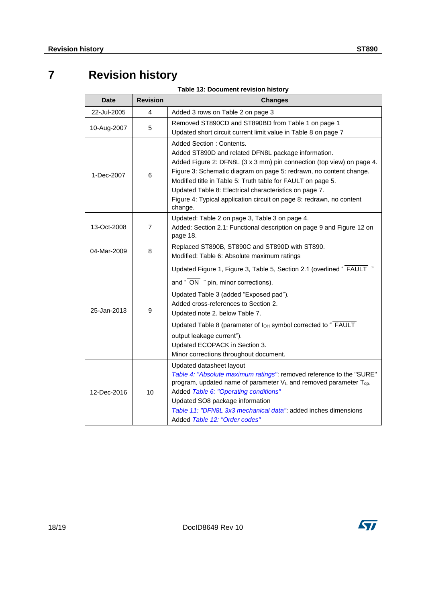## **7 Revision history**

|  | <b>Table 13: Document revision history</b> |  |
|--|--------------------------------------------|--|
|  |                                            |  |

<span id="page-17-0"></span>

| <b>Date</b>                               | <b>Revision</b> | <b>Changes</b>                                                                                                                                                                                                                                                                                                                                                                                                                                    |  |
|-------------------------------------------|-----------------|---------------------------------------------------------------------------------------------------------------------------------------------------------------------------------------------------------------------------------------------------------------------------------------------------------------------------------------------------------------------------------------------------------------------------------------------------|--|
| 22-Jul-2005                               | 4               | Added 3 rows on Table 2 on page 3                                                                                                                                                                                                                                                                                                                                                                                                                 |  |
| 10-Aug-2007                               | 5               | Removed ST890CD and ST890BD from Table 1 on page 1<br>Updated short circuit current limit value in Table 8 on page 7                                                                                                                                                                                                                                                                                                                              |  |
| 1-Dec-2007                                | 6               | <b>Added Section: Contents.</b><br>Added ST890D and related DFN8L package information.<br>Added Figure 2: DFN8L (3 x 3 mm) pin connection (top view) on page 4.<br>Figure 3: Schematic diagram on page 5: redrawn, no content change.<br>Modified title in Table 5: Truth table for FAULT on page 5.<br>Updated Table 8: Electrical characteristics on page 7.<br>Figure 4: Typical application circuit on page 8: redrawn, no content<br>change. |  |
| 13-Oct-2008<br>$\overline{7}$<br>page 18. |                 | Updated: Table 2 on page 3, Table 3 on page 4.<br>Added: Section 2.1: Functional description on page 9 and Figure 12 on                                                                                                                                                                                                                                                                                                                           |  |
| 04-Mar-2009                               | 8               | Replaced ST890B, ST890C and ST890D with ST890.<br>Modified: Table 6: Absolute maximum ratings                                                                                                                                                                                                                                                                                                                                                     |  |
| 25-Jan-2013                               | 9               | Updated Figure 1, Figure 3, Table 5, Section 2.1 (overlined "FAULT"<br>and " $\overline{ON}$ " pin, minor corrections).<br>Updated Table 3 (added "Exposed pad").<br>Added cross-references to Section 2.<br>Updated note 2. below Table 7.<br>Updated Table 8 (parameter of lo <sub>H</sub> symbol corrected to "FAULT<br>output leakage current").<br>Updated ECOPACK in Section 3.<br>Minor corrections throughout document.                   |  |
| 12-Dec-2016                               | 10              | Updated datasheet layout<br>Table 4: "Absolute maximum ratings": removed reference to the "SURE"<br>program, updated name of parameter V <sub>I</sub> , and removed parameter T <sub>op</sub> .<br>Added Table 6: "Operating conditions"<br>Updated SO8 package information<br>Table 11: "DFN8L 3x3 mechanical data": added inches dimensions<br>Added Table 12: "Order codes"                                                                    |  |

18/19 DocID8649 Rev 10